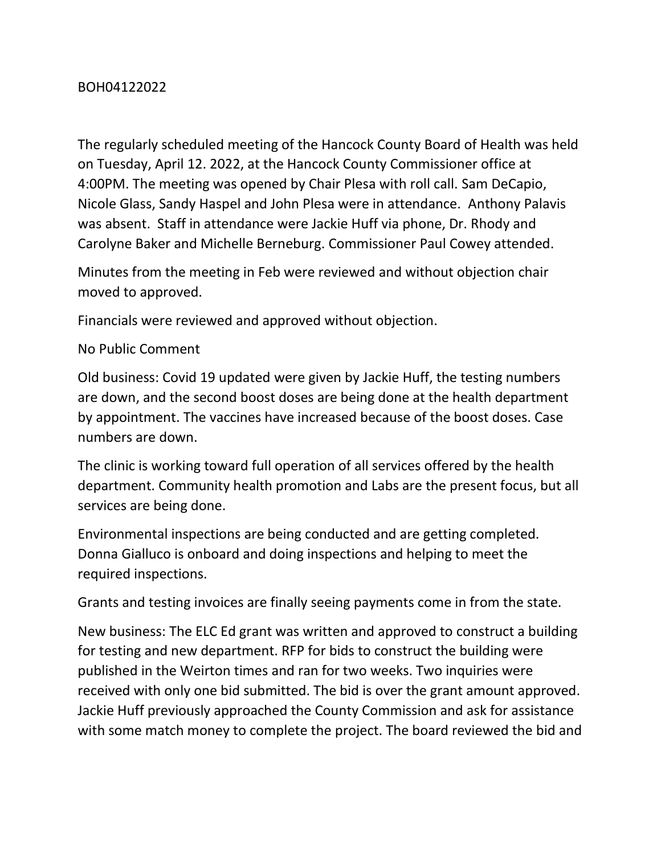## BOH04122022

The regularly scheduled meeting of the Hancock County Board of Health was held on Tuesday, April 12. 2022, at the Hancock County Commissioner office at 4:00PM. The meeting was opened by Chair Plesa with roll call. Sam DeCapio, Nicole Glass, Sandy Haspel and John Plesa were in attendance. Anthony Palavis was absent. Staff in attendance were Jackie Huff via phone, Dr. Rhody and Carolyne Baker and Michelle Berneburg. Commissioner Paul Cowey attended.

Minutes from the meeting in Feb were reviewed and without objection chair moved to approved.

Financials were reviewed and approved without objection.

## No Public Comment

Old business: Covid 19 updated were given by Jackie Huff, the testing numbers are down, and the second boost doses are being done at the health department by appointment. The vaccines have increased because of the boost doses. Case numbers are down.

The clinic is working toward full operation of all services offered by the health department. Community health promotion and Labs are the present focus, but all services are being done.

Environmental inspections are being conducted and are getting completed. Donna Gialluco is onboard and doing inspections and helping to meet the required inspections.

Grants and testing invoices are finally seeing payments come in from the state.

New business: The ELC Ed grant was written and approved to construct a building for testing and new department. RFP for bids to construct the building were published in the Weirton times and ran for two weeks. Two inquiries were received with only one bid submitted. The bid is over the grant amount approved. Jackie Huff previously approached the County Commission and ask for assistance with some match money to complete the project. The board reviewed the bid and